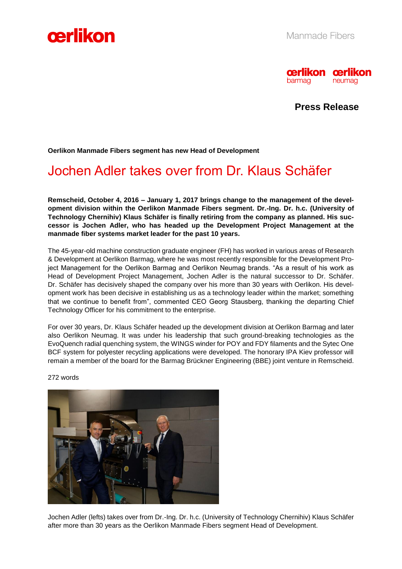



**Press Release**

**Oerlikon Manmade Fibers segment has new Head of Development** 

## Jochen Adler takes over from Dr. Klaus Schäfer

**Remscheid, October 4, 2016 – January 1, 2017 brings change to the management of the development division within the Oerlikon Manmade Fibers segment. Dr.-Ing. Dr. h.c. (University of Technology Chernihiv) Klaus Schäfer is finally retiring from the company as planned. His successor is Jochen Adler, who has headed up the Development Project Management at the manmade fiber systems market leader for the past 10 years.** 

The 45-year-old machine construction graduate engineer (FH) has worked in various areas of Research & Development at Oerlikon Barmag, where he was most recently responsible for the Development Project Management for the Oerlikon Barmag and Oerlikon Neumag brands. "As a result of his work as Head of Development Project Management, Jochen Adler is the natural successor to Dr. Schäfer. Dr. Schäfer has decisively shaped the company over his more than 30 years with Oerlikon. His development work has been decisive in establishing us as a technology leader within the market; something that we continue to benefit from", commented CEO Georg Stausberg, thanking the departing Chief Technology Officer for his commitment to the enterprise.

For over 30 years, Dr. Klaus Schäfer headed up the development division at Oerlikon Barmag and later also Oerlikon Neumag. It was under his leadership that such ground-breaking technologies as the EvoQuench radial quenching system, the WINGS winder for POY and FDY filaments and the Sytec One BCF system for polyester recycling applications were developed. The honorary IPA Kiev professor will remain a member of the board for the Barmag Brückner Engineering (BBE) joint venture in Remscheid.



272 words

Jochen Adler (lefts) takes over from Dr.-Ing. Dr. h.c. (University of Technology Chernihiv) Klaus Schäfer after more than 30 years as the Oerlikon Manmade Fibers segment Head of Development.